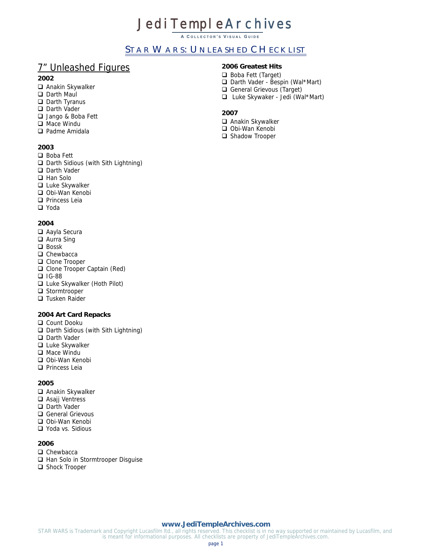# **Jedi TempleArchives**

**A C OLLECTOR ' S V ISUAL G UIDE**

# STAR WARS: UNLEASHED CHECKLIST

# 7" Unleashed Figures

#### **2002**

- Anakin Skywalker
- Darth Maul
- D Darth Tyranus
- Darth Vader
- Jango & Boba Fett
- □ Mace Windu
- Padme Amidala

## **2003**

- □ Boba Fett
- □ Darth Sidious (with Sith Lightning)
- Darth Vader
- □ Han Solo
- □ Luke Skywalker
- Obi-Wan Kenobi
- **Princess Leia**
- □ Yoda

#### **2004**

- Aayla Secura
- □ Aurra Sing
- $\Box$  Bossk
- $\Box$  Chewbacca
- □ Clone Trooper
- □ Clone Trooper Captain (Red)
- $\Box$  IG-88
- □ Luke Skywalker (Hoth Pilot)
- □ Stormtrooper
- □ Tusken Raider

## **2004 Art Card Repacks**

- O Count Dooku
- □ Darth Sidious (with Sith Lightning)
- Darth Vader
- □ Luke Skywalker
- □ Mace Windu
- □ Obi-Wan Kenobi
- $\Box$  Princess Leia

**2005**

- Anakin Skywalker
- □ Asajj Ventress
- □ Darth Vader
- General Grievous
- □ Obi-Wan Kenobi
- □ Yoda vs. Sidious

## **2006**

- □ Chewbacca
- □ Han Solo in Stormtrooper Disquise
- Shock Trooper

# **2006 Greatest Hits**

- Boba Fett (Target)
- □ Darth Vader Bespin (Wal\*Mart)
- General Grievous (Target)
- Luke Skywaker Jedi (Wal\*Mart)

# **2007**

- Anakin Skywalker
- Obi-Wan Kenobi
- Shadow Trooper

#### **[www.JediTempleArchives.com](http://www.jeditemplearchives.com/)**

STAR WARS is Trademark and Copyright Lucasfilm ltd., all rights reserved. This checklist is in no way supported or maintained by Lucasfilm, and is meant for informational purposes. All checklists are property of JediTempleArchives.com.